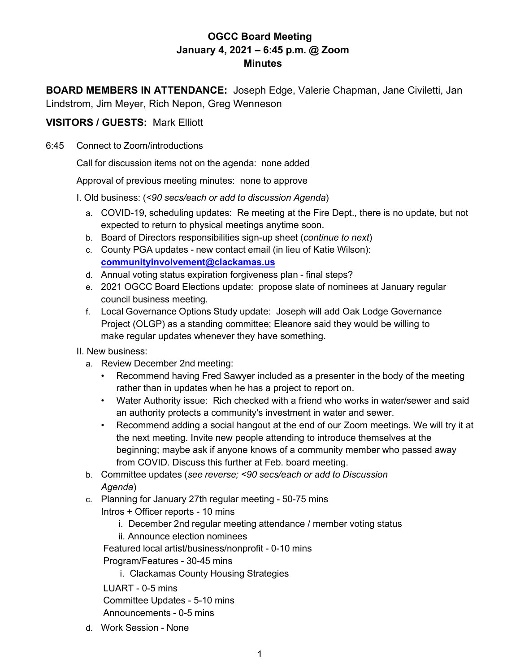## **OGCC Board Meeting January 4, 2021 – 6:45 p.m. @ Zoom Minutes**

**BOARD MEMBERS IN ATTENDANCE:** Joseph Edge, Valerie Chapman, Jane Civiletti, Jan Lindstrom, Jim Meyer, Rich Nepon, Greg Wenneson

## **VISITORS / GUESTS:** Mark Elliott

6:45 Connect to Zoom/introductions

Call for discussion items not on the agenda: none added

Approval of previous meeting minutes: none to approve

I. Old business: (*<90 secs/each or add to discussion Agenda*)

- a. COVID-19, scheduling updates: Re meeting at the Fire Dept., there is no update, but not expected to return to physical meetings anytime soon.
- b. Board of Directors responsibilities sign-up sheet (*continue to next*)
- c. County PGA updates new contact email (in lieu of Katie Wilson): **[communityinvolvement@clackamas.us](mailto:communityinvolvement@clackamas.us)**
- d. Annual voting status expiration forgiveness plan final steps?
- e. 2021 OGCC Board Elections update: propose slate of nominees at January regular council business meeting.
- f. Local Governance Options Study update: Joseph will add Oak Lodge Governance Project (OLGP) as a standing committee; Eleanore said they would be willing to make regular updates whenever they have something.
- II. New business:
	- a. Review December 2nd meeting:
		- Recommend having Fred Sawyer included as a presenter in the body of the meeting rather than in updates when he has a project to report on.
		- Water Authority issue: Rich checked with a friend who works in water/sewer and said an authority protects a community's investment in water and sewer.
		- Recommend adding a social hangout at the end of our Zoom meetings. We will try it at the next meeting. Invite new people attending to introduce themselves at the beginning; maybe ask if anyone knows of a community member who passed away from COVID. Discuss this further at Feb. board meeting.
	- b. Committee updates (*see reverse; <90 secs/each or add to Discussion Agenda*)
	- c. Planning for January 27th regular meeting 50-75 mins Intros + Officer reports - 10 mins
		- i. December 2nd regular meeting attendance / member voting status
		- ii. Announce election nominees

Featured local artist/business/nonprofit - 0-10 mins

Program/Features - 30-45 mins

i. Clackamas County Housing Strategies

LUART - 0-5 mins Committee Updates - 5-10 mins Announcements - 0-5 mins

d. Work Session - None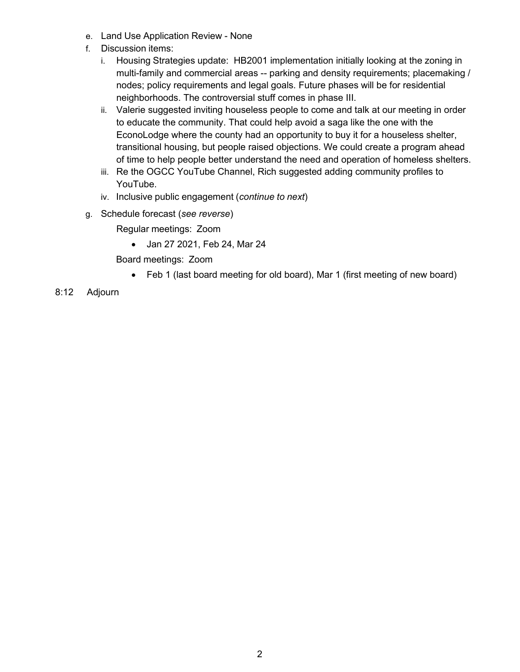- e. Land Use Application Review None
- f. Discussion items:
	- i. Housing Strategies update: HB2001 implementation initially looking at the zoning in multi-family and commercial areas -- parking and density requirements; placemaking / nodes; policy requirements and legal goals. Future phases will be for residential neighborhoods. The controversial stuff comes in phase III.
	- ii. Valerie suggested inviting houseless people to come and talk at our meeting in order to educate the community. That could help avoid a saga like the one with the EconoLodge where the county had an opportunity to buy it for a houseless shelter, transitional housing, but people raised objections. We could create a program ahead of time to help people better understand the need and operation of homeless shelters.
	- iii. Re the OGCC YouTube Channel, Rich suggested adding community profiles to YouTube.
	- iv. Inclusive public engagement (*continue to next*)
- g. Schedule forecast (*see reverse*)

Regular meetings: Zoom

• Jan 27 2021, Feb 24, Mar 24

Board meetings: Zoom

- Feb 1 (last board meeting for old board), Mar 1 (first meeting of new board)
- 8:12 Adjourn